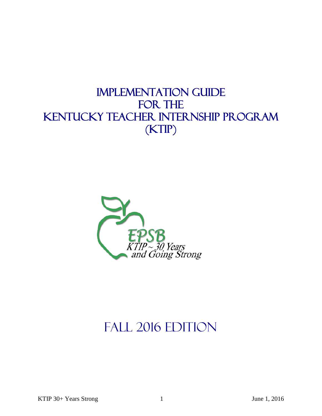## IMPLEMENTATION GUIDE FOR THE KENTUCKY TEACHER INTERNSHIP PROGRAM (KTIP)



# FALL 2016 EDITION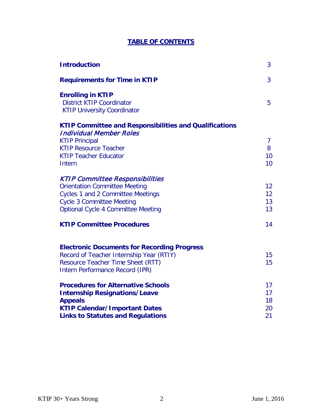## **TABLE OF CONTENTS**

| <b>Requirements for Time in KTIP</b>                                                               | 3               |
|----------------------------------------------------------------------------------------------------|-----------------|
| <b>Enrolling in KTIP</b><br><b>District KTIP Coordinator</b><br><b>KTIP University Coordinator</b> | 5               |
| <b>KTIP Committee and Responsibilities and Qualifications</b>                                      |                 |
| <b>Individual Member Roles</b><br><b>KTIP Principal</b>                                            | $\overline{7}$  |
| <b>KTIP Resource Teacher</b>                                                                       | 8               |
| <b>KTIP Teacher Educator</b>                                                                       | 10 <sup>°</sup> |
| Intern                                                                                             | 10 <sup>°</sup> |
| <b>KTIP Committee Responsibilities</b>                                                             |                 |
| <b>Orientation Committee Meeting</b>                                                               | 12 <sup>2</sup> |
| <b>Cycles 1 and 2 Committee Meetings</b>                                                           | 12              |
| <b>Cycle 3 Committee Meeting</b>                                                                   | 13              |
| <b>Optional Cycle 4 Committee Meeting</b>                                                          | 13              |
| <b>KTIP Committee Procedures</b>                                                                   | 14              |
| <b>Electronic Documents for Recording Progress</b>                                                 |                 |
| Record of Teacher Internship Year (RTIY)                                                           | 15              |
| Resource Teacher Time Sheet (RTT)<br>Intern Performance Record (IPR)                               | 15              |
|                                                                                                    |                 |
| <b>Procedures for Alternative Schools</b>                                                          | 17              |
| <b>Internship Resignations/Leave</b><br><b>Appeals</b>                                             | 17<br>18        |
| <b>KTIP Calendar/Important Dates</b>                                                               | 20              |
| <b>Links to Statutes and Regulations</b>                                                           | 21              |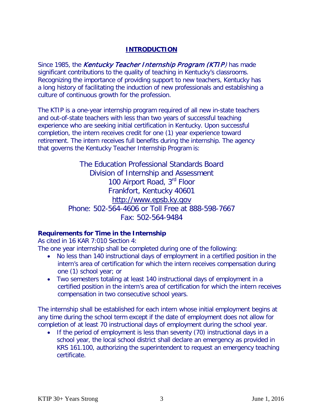## **INTRODUCTION**

Since 1985, the Kentucky Teacher Internship Program (KTIP) has made significant contributions to the quality of teaching in Kentucky's classrooms. Recognizing the importance of providing support to new teachers, Kentucky has a long history of facilitating the induction of new professionals and establishing a culture of continuous growth for the profession.

The KTIP is a one-year internship program required of all new in-state teachers and out-of-state teachers with less than two years of successful teaching experience who are seeking initial certification in Kentucky. Upon successful completion, the intern receives credit for one (1) year experience toward retirement. The intern receives full benefits during the internship. The agency that governs the Kentucky Teacher Internship Program is:

> The Education Professional Standards Board Division of Internship and Assessment 100 Airport Road, 3<sup>rd</sup> Floor Frankfort, Kentucky 40601 http://www.epsb.ky.gov Phone: 502-564-4606 or Toll Free at 888-598-7667 Fax: 502-564-9484

## **Requirements for Time in the Internship**

As cited in 16 KAR 7:010 Section 4:

The one year internship shall be completed during one of the following:

- No less than 140 instructional days of employment in a certified position in the intern's area of certification for which the intern receives compensation during one (1) school year; or
- Two semesters totaling at least 140 instructional days of employment in a certified position in the intern's area of certification for which the intern receives compensation in two consecutive school years.

The internship shall be established for each intern whose initial employment begins at any time during the school term except if the date of employment does not allow for completion of at least 70 instructional days of employment during the school year.

• If the period of employment is less than seventy (70) instructional days in a school year, the local school district shall declare an emergency as provided in KRS 161.100, authorizing the superintendent to request an emergency teaching certificate.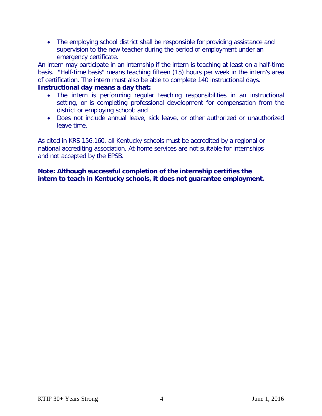• The employing school district shall be responsible for providing assistance and supervision to the new teacher during the period of employment under an emergency certificate.

An intern may participate in an internship if the intern is teaching at least on a half-time basis. "Half-time basis" means teaching fifteen (15) hours per week in the intern's area of certification. The intern must also be able to complete 140 instructional days.

## **Instructional day means a day that:**

- The intern is performing regular teaching responsibilities in an instructional setting, or is completing professional development for compensation from the district or employing school; and
- Does not include annual leave, sick leave, or other authorized or unauthorized leave time.

As cited in KRS 156.160, all Kentucky schools must be accredited by a regional or national accrediting association. At-home services are not suitable for internships and not accepted by the EPSB.

**Note: Although successful completion of the internship certifies the intern to teach in Kentucky schools, it does not guarantee employment.**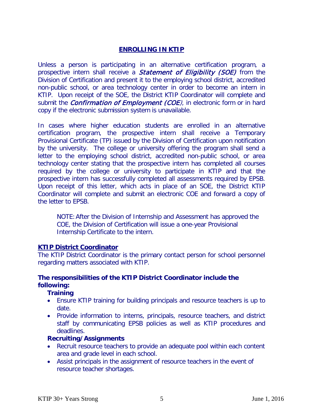## **ENROLLING IN KTIP**

Unless a person is participating in an alternative certification program, a prospective intern shall receive a *Statement of Eligibility (SOE)* from the Division of Certification and present it to the employing school district, accredited non-public school, or area technology center in order to become an intern in KTIP. Upon receipt of the SOE, the District KTIP Coordinator will complete and submit the *Confirmation of Employment (COE)*, in electronic form or in hard copy if the electronic submission system is unavailable.

In cases where higher education students are enrolled in an alternative certification program, the prospective intern shall receive a Temporary Provisional Certificate (TP) issued by the Division of Certification upon notification by the university. The college or university offering the program shall send a letter to the employing school district, accredited non-public school, or area technology center stating that the prospective intern has completed all courses required by the college or university to participate in KTIP and that the prospective intern has successfully completed all assessments required by EPSB. Upon receipt of this letter, which acts in place of an SOE, the District KTIP Coordinator will complete and submit an electronic COE and forward a copy of the letter to EPSB.

NOTE:After the Division of Internship and Assessment has approved the COE, the Division of Certification will issue a one-year Provisional Internship Certificate to the intern.

#### **KTIP District Coordinator**

The KTIP District Coordinator is the primary contact person for school personnel regarding matters associated with KTIP.

## **The responsibilities of the KTIP District Coordinator include the following:**

#### **Training**

- Ensure KTIP training for building principals and resource teachers is up to date.
- Provide information to interns, principals, resource teachers, and district staff by communicating EPSB policies as well as KTIP procedures and deadlines.

#### **Recruiting/Assignments**

- Recruit resource teachers to provide an adequate pool within each content area and grade level in each school.
- Assist principals in the assignment of resource teachers in the event of resource teacher shortages.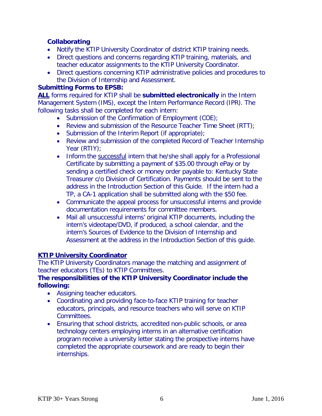## **Collaborating**

- Notify the KTIP University Coordinator of district KTIP training needs.
- Direct questions and concerns regarding KTIP training, materials, and teacher educator assignments to the KTIP University Coordinator.
- Direct questions concerning KTIP administrative policies and procedures to the Division of Internship and Assessment.

#### **Submitting Forms to EPSB:**

**ALL** forms required for KTIP shall be **submitted electronically** in the Intern Management System (IMS), except the Intern Performance Record (IPR). The following tasks shall be completed for each intern:

- Submission of the Confirmation of Employment (COE);
- Review and submission of the Resource Teacher Time Sheet (RTT);
- Submission of the Interim Report (if appropriate);
- Review and submission of the completed Record of Teacher Internship Year (RTIY);
- Inform the successful intern that he/she shall apply for a Professional Certificate by submitting a payment of \$35.00 through ePay or by sending a certified check or money order payable to: Kentucky State Treasurer c/o Division of Certification. Payments should be sent to the address in the Introduction Section of this Guide. If the intern had a TP, a CA-1 application shall be submitted along with the \$50 fee.
- Communicate the appeal process for unsuccessful interns and provide documentation requirements for committee members.
- Mail all unsuccessful interns' original KTIP documents, including the intern's videotape/DVD, if produced, a school calendar, and the intern's Sources of Evidence to the Division of Internship and Assessment at the address in the Introduction Section of this guide.

#### **[KTIP University Coordinator](http://www.epsb.ky.gov/documents/KTIP_KPIP/ktip/UniversityCoordinatorsInformation.pdf)**

The KTIP University Coordinators manage the matching and assignment of teacher educators (TEs) to KTIP Committees.

#### **The responsibilities of the KTIP University Coordinator include the following:**

- Assigning teacher educators.
- Coordinating and providing face-to-face KTIP training for teacher educators, principals, and resource teachers who will serve on KTIP Committees.
- Ensuring that school districts, accredited non-public schools, or area technology centers employing interns in an alternative certification program receive a university letter stating the prospective interns have completed the appropriate coursework and are ready to begin their internships.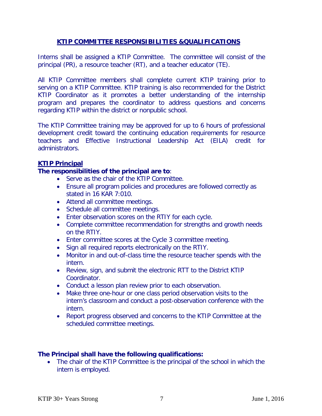## **KTIP COMMITTEE RESPONSIBILITIES &QUALIFICATIONS**

Interns shall be assigned a KTIP Committee. The committee will consist of the principal (PR), a resource teacher (RT), and a teacher educator (TE).

All KTIP Committee members shall complete current KTIP training prior to serving on a KTIP Committee. KTIP training is also recommended for the District KTIP Coordinator as it promotes a better understanding of the internship program and prepares the coordinator to address questions and concerns regarding KTIP within the district or nonpublic school.

The KTIP Committee training may be approved for up to 6 hours of professional development credit toward the continuing education requirements for resource teachers and Effective Instructional Leadership Act (EILA) credit for administrators.

#### **KTIP Principal**

#### **The responsibilities of the principal are to**:

- Serve as the chair of the KTIP Committee.
- Ensure all program policies and procedures are followed correctly as stated in 16 KAR 7:010.
- Attend all committee meetings.
- Schedule all committee meetings.
- Enter observation scores on the RTIY for each cycle.
- Complete committee recommendation for strengths and growth needs on the RTIY.
- Enter committee scores at the Cycle 3 committee meeting.
- Sign all required reports electronically on the RTIY.
- Monitor in and out-of-class time the resource teacher spends with the intern.
- Review, sign, and submit the electronic RTT to the District KTIP Coordinator.
- Conduct a lesson plan review prior to each observation.
- Make three one-hour or one class period observation visits to the intern's classroom and conduct a post-observation conference with the intern.
- Report progress observed and concerns to the KTIP Committee at the scheduled committee meetings.

#### **The Principal shall have the following qualifications:**

• The chair of the KTIP Committee is the principal of the school in which the intern is employed.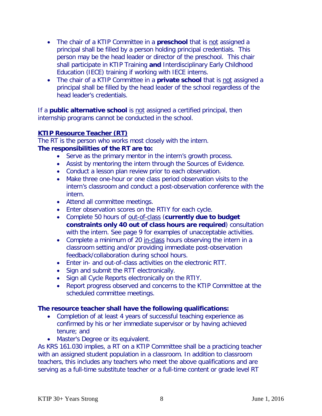- The chair of a KTIP Committee in a **preschool** that is not assigned a principal shall be filled by a person holding principal credentials. This person may be the head leader or director of the preschool. This chair shall participate in KTIP Training **and** Interdisciplinary Early Childhood Education (IECE) training if working with IECE interns.
- The chair of a KTIP Committee in a **private school** that is not assigned a principal shall be filled by the head leader of the school regardless of the head leader's credentials.

If a **public alternative school** is not assigned a certified principal, then internship programs cannot be conducted in the school.

## **KTIP Resource Teacher (RT)**

The RT is the person who works most closely with the intern. **The responsibilities of the RT are to:** 

- Serve as the primary mentor in the intern's growth process.
- Assist by mentoring the intern through the Sources of Evidence.
- Conduct a lesson plan review prior to each observation.
- Make three one-hour or one class period observation visits to the intern's classroom and conduct a post-observation conference with the intern.
- Attend all committee meetings.
- Enter observation scores on the RTIY for each cycle.
- Complete 50 hours of out-of-class (**currently due to budget constraints only 40 out of class hours are required**) consultation with the intern. See page 9 for examples of unacceptable activities.
- Complete a minimum of 20 in-class hours observing the intern in a classroom setting and/or providing immediate post-observation feedback/collaboration during school hours.
- Enter in- and out-of-class activities on the electronic RTT.
- Sign and submit the RTT electronically.
- Sign all Cycle Reports electronically on the RTIY.
- Report progress observed and concerns to the KTIP Committee at the scheduled committee meetings.

#### **The resource teacher shall have the following qualifications:**

- Completion of at least 4 years of successful teaching experience as confirmed by his or her immediate supervisor or by having achieved tenure; and
- Master's Degree or its equivalent.

As KRS 161.030 implies, a RT on a KTIP Committee shall be a practicing teacher with an assigned student population in a classroom. In addition to classroom teachers, this includes any teachers who meet the above qualifications and are serving as a full-time substitute teacher or a full-time content or grade level RT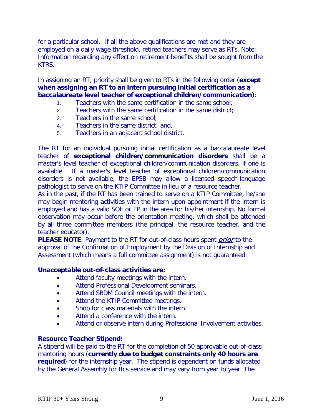for a particular school. If all the above qualifications are met and they are employed on a daily wage threshold, retired teachers may serve as RTs. Note: Information regarding any effect on retirement benefits shall be sought from the KTRS.

In assigning an RT, priority shall be given to RTs in the following order (**except when assigning an RT to an intern pursuing initial certification as a baccalaureate level teacher of exceptional children/communication)**:

- 1. Teachers with the same certification in the same school;
- 2. Teachers with the same certification in the same district;
- 3. Teachers in the same school;
- 4. Teachers in the same district; and,
- 5. Teachers in an adjacent school district.

The RT for an individual pursuing initial certification as a baccalaureate level teacher of **exceptional children/communication disorders** shall be a master's level teacher of exceptional children/communication disorders, if one is available. If a master's level teacher of exceptional children/communication disorders is not available, the EPSB may allow a licensed speech-language pathologist to serve on the KTIP Committee in lieu of a resource teacher.

As in the past, if the RT has been trained to serve on a KTIP Committee, he/she may begin mentoring activities with the intern upon appointment if the intern is employed and has a valid SOE or TP in the area for his/her internship. No formal observation may occur before the orientation meeting, which shall be attended by all three committee members (the principal, the resource teacher, and the teacher educator).

PLEASE NOTE: Payment to the RT for out-of-class hours spent *prior* to the approval of the Confirmation of Employment by the Division of Internship and Assessment (which means a full committee assignment) is not guaranteed.

#### **Unacceptable out-of-class activities are:**

- Attend faculty meetings with the intern.
- Attend Professional Development seminars.
- Attend SBDM Council meetings with the intern.
- Attend the KTIP Committee meetings.
- Shop for class materials with the intern.
- Attend a conference with the intern.
- Attend or observe intern during Professional Involvement activities.

## **Resource Teacher Stipend:**

A stipend will be paid to the RT for the completion of 50 approvable out-of-class mentoring hours (**currently due to budget constraints only 40 hours are required**) for the internship year. The stipend is dependent on funds allocated by the General Assembly for this service and may vary from year to year. The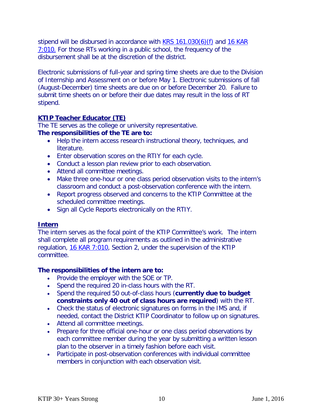stipend will be disbursed in accordance with  $KRS$  161.030(6)(f) and 16 KAR [7:010.](http://www.lrc.state.ky.us/kar/016/007/010.htm) For those RTs working in a public school, the frequency of the disbursement shall be at the discretion of the district.

Electronic submissions of full-year and spring time sheets are due to the Division of Internship and Assessment on or before May 1. Electronic submissions of fall (August-December) time sheets are due on or before December 20. Failure to submit time sheets on or before their due dates may result in the loss of RT stipend.

## **KTIP Teacher Educator (TE)**

The TE serves as the college or university representative.

## **The responsibilities of the TE are to:**

- Help the intern access research instructional theory, techniques, and literature.
- Enter observation scores on the RTIY for each cycle.
- Conduct a lesson plan review prior to each observation.
- Attend all committee meetings.
- Make three one-hour or one class period observation visits to the intern's classroom and conduct a post-observation conference with the intern.
- Report progress observed and concerns to the KTIP Committee at the scheduled committee meetings.
- Sign all Cycle Reports electronically on the RTIY.

## **Intern**

The intern serves as the focal point of the KTIP Committee's work. The intern shall complete all program requirements as outlined in the administrative regulation, [16 KAR 7:010,](http://www.lrc.ky.gov/kar/016/007/010.htm) Section 2, under the supervision of the KTIP committee.

## **The responsibilities of the intern are to:**

- Provide the employer with the SOE or TP.
- Spend the required 20 in-class hours with the RT.
- Spend the required 50 out-of-class hours (**currently due to budget constraints only 40 out of class hours are required**) with the RT.
- Check the status of electronic signatures on forms in the IMS and, if needed, contact the District KTIP Coordinator to follow up on signatures.
- Attend all committee meetings.
- Prepare for three official one-hour or one class period observations by each committee member during the year by submitting a written lesson plan to the observer in a timely fashion before each visit.
- Participate in post-observation conferences with individual committee members in conjunction with each observation visit.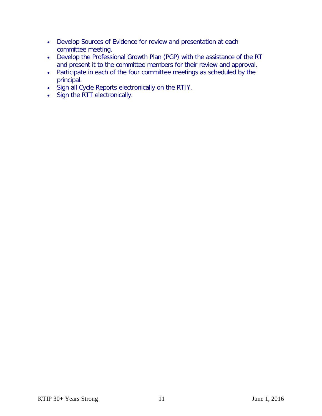- Develop Sources of Evidence for review and presentation at each committee meeting.
- Develop the Professional Growth Plan (PGP) with the assistance of the RT and present it to the committee members for their review and approval.
- Participate in each of the four committee meetings as scheduled by the principal.
- Sign all Cycle Reports electronically on the RTIY.
- Sign the RTT electronically.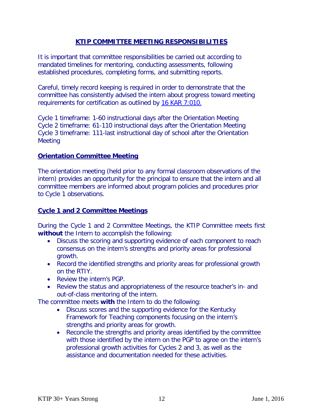#### **KTIP COMMITTEE MEETING RESPONSIBILITIES**

It is important that committee responsibilities be carried out according to mandated timelines for mentoring, conducting assessments, following established procedures, completing forms, and submitting reports.

Careful, timely record keeping is required in order to demonstrate that the committee has consistently advised the intern about progress toward meeting requirements for certification as outlined by [16 KAR 7:010.](http://www.lrc.state.ky.us/kar/016/007/010.htm)

Cycle 1 timeframe: 1-60 instructional days after the Orientation Meeting Cycle 2 timeframe: 61-110 instructional days after the Orientation Meeting Cycle 3 timeframe: 111-last instructional day of school after the Orientation **Meeting** 

#### **Orientation Committee Meeting**

The orientation meeting (held prior to any formal classroom observations of the intern) provides an opportunity for the principal to ensure that the intern and all committee members are informed about program policies and procedures prior to Cycle 1 observations.

#### **Cycle 1 and 2 Committee Meetings**

During the Cycle 1 and 2 Committee Meetings, the KTIP Committee meets first **without** the Intern to accomplish the following:

- Discuss the scoring and supporting evidence of each component to reach consensus on the intern's strengths and priority areas for professional growth.
- Record the identified strengths and priority areas for professional growth on the RTIY.
- Review the intern's PGP.
- Review the status and appropriateness of the resource teacher's in- and out-of-class mentoring of the intern.

The committee meets **with** the Intern to do the following:

- Discuss scores and the supporting evidence for the Kentucky Framework for Teaching components focusing on the intern's strengths and priority areas for growth.
- Reconcile the strengths and priority areas identified by the committee with those identified by the intern on the PGP to agree on the intern's professional growth activities for Cycles 2 and 3, as well as the assistance and documentation needed for these activities.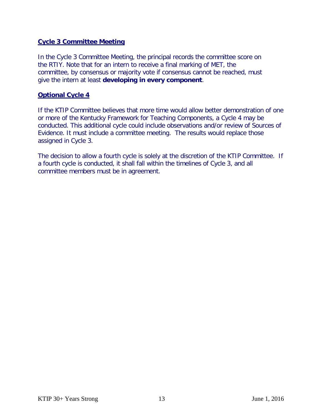#### **Cycle 3 Committee Meeting**

In the Cycle 3 Committee Meeting, the principal records the committee score on the RTIY. Note that for an intern to receive a final marking of MET, the committee, by consensus or majority vote if consensus cannot be reached, must give the intern at least **developing in every component**.

#### **Optional Cycle 4**

If the KTIP Committee believes that more time would allow better demonstration of one or more of the Kentucky Framework for Teaching Components, a Cycle 4 may be conducted. This additional cycle could include observations and/or review of Sources of Evidence. It must include a committee meeting. The results would replace those assigned in Cycle 3.

The decision to allow a fourth cycle is solely at the discretion of the KTIP Committee. If a fourth cycle is conducted, it shall fall within the timelines of Cycle 3, and all committee members must be in agreement.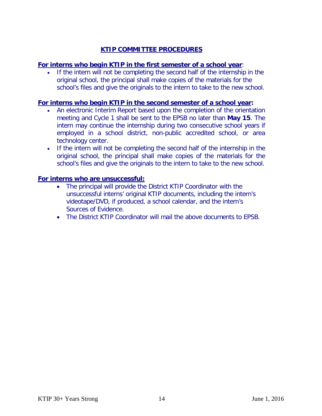## **KTIP COMMITTEE PROCEDURES**

#### **For interns who begin KTIP in the first semester of a school year**:

• If the intern will not be completing the second half of the internship in the original school, the principal shall make copies of the materials for the school's files and give the originals to the intern to take to the new school.

#### **For interns who begin KTIP in the second semester of a school year:**

- An electronic Interim Report based upon the completion of the orientation meeting and Cycle 1 shall be sent to the EPSB no later than **May 15**. The intern may continue the internship during two consecutive school years if employed in a school district, non-public accredited school, or area technology center.
- If the intern will not be completing the second half of the internship in the original school, the principal shall make copies of the materials for the school's files and give the originals to the intern to take to the new school.

#### **For interns who are unsuccessful:**

- The principal will provide the District KTIP Coordinator with the unsuccessful interns' original KTIP documents, including the intern's videotape/DVD, if produced, a school calendar, and the intern's Sources of Evidence.
- The District KTIP Coordinator will mail the above documents to EPSB.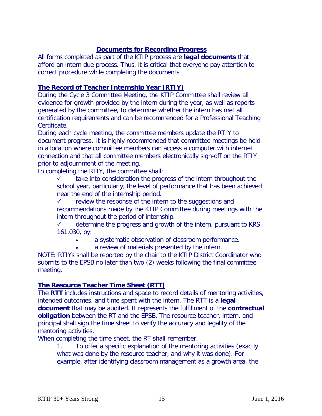## **Documents for Recording Progress**

All forms completed as part of the KTIP process are **legal documents** that afford an intern due process. Thus, it is critical that everyone pay attention to correct procedure while completing the documents.

## **The Record of Teacher Internship Year (RTIY)**

During the Cycle 3 Committee Meeting, the KTIP Committee shall review all evidence for growth provided by the intern during the year, as well as reports generated by the committee, to determine whether the intern has met all certification requirements and can be recommended for a Professional Teaching Certificate.

During each cycle meeting, the committee members update the RTIY to document progress. It is highly recommended that committee meetings be held in a location where committee members can access a computer with internet connection and that all committee members electronically sign-off on the RTIY prior to adjournment of the meeting.

In completing the RTIY, the committee shall:

 $\checkmark$  take into consideration the progress of the intern throughout the school year, particularly, the level of performance that has been achieved near the end of the internship period.

 $\checkmark$  review the response of the intern to the suggestions and recommendations made by the KTIP Committee during meetings with the intern throughout the period of internship.

 $\checkmark$  determine the progress and growth of the intern, pursuant to KRS 161.030, by:

- a systematic observation of classroom performance.
	- a review of materials presented by the intern.

NOTE: RTIYs shall be reported by the chair to the KTIP District Coordinator who submits to the EPSB no later than two (2) weeks following the final committee meeting.

## **The Resource Teacher Time Sheet (RTT)**

The **RTT** includes instructions and space to record details of mentoring activities, intended outcomes, and time spent with the intern. The RTT is a **legal document** that may be audited. It represents the fulfillment of the **contractual obligation** between the RT and the EPSB. The resource teacher, intern, and principal shall sign the time sheet to verify the accuracy and legality of the mentoring activities.

When completing the time sheet, the RT shall remember:

1. To offer a specific explanation of the mentoring activities (exactly what was done by the resource teacher, and why it was done). For example, after identifying classroom management as a growth area, the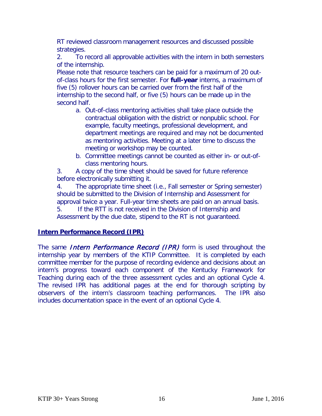RT reviewed classroom management resources and discussed possible strategies.

2. To record all approvable activities with the intern in both semesters of the internship.

Please note that resource teachers can be paid for a maximum of 20 outof-class hours for the first semester. For **full-year** interns, a maximum of five (5) rollover hours can be carried over from the first half of the internship to the second half, or five (5) hours can be made up in the second half.

- a. Out-of-class mentoring activities shall take place outside the contractual obligation with the district or nonpublic school. For example, faculty meetings, professional development, and department meetings are required and may not be documented as mentoring activities. Meeting at a later time to discuss the meeting or workshop may be counted.
- b. Committee meetings cannot be counted as either in- or out-ofclass mentoring hours.

3. A copy of the time sheet should be saved for future reference before electronically submitting it.

4. The appropriate time sheet (i.e., Fall semester or Spring semester) should be submitted to the Division of Internship and Assessment for approval twice a year. Full-year time sheets are paid on an annual basis. 5. If the RTT is not received in the Division of Internship and Assessment by the due date, stipend to the RT is not guaranteed.

## **Intern Performance Record (IPR)**

The same *Intern Performance Record (IPR)* form is used throughout the internship year by members of the KTIP Committee. It is completed by each committee member for the purpose of recording evidence and decisions about an intern's progress toward each component of the Kentucky Framework for Teaching during each of the three assessment cycles and an optional Cycle 4. The revised IPR has additional pages at the end for thorough scripting by observers of the intern's classroom teaching performances. The IPR also includes documentation space in the event of an optional Cycle 4.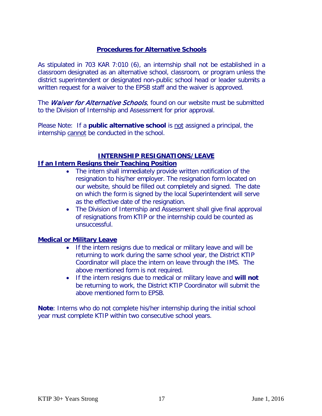## **Procedures for Alternative Schools**

As stipulated in 703 KAR 7:010 (6), an internship shall not be established in a classroom designated as an alternative school, classroom, or program unless the district superintendent or designated non-public school head or leader submits a written request for a waiver to the EPSB staff and the waiver is approved.

The *Waiver for Alternative Schools*, found on our website must be submitted to the Division of Internship and Assessment for prior approval.

Please Note: If a **public alternative school** is not assigned a principal, the internship cannot be conducted in the school.

#### **INTERNSHIP RESIGNATIONS/LEAVE**

## **If an Intern Resigns their Teaching Position**

- The intern shall immediately provide written notification of the resignation to his/her employer. The resignation form located on our website, should be filled out completely and signed. The date on which the form is signed by the local Superintendent will serve as the effective date of the resignation.
- The Division of Internship and Assessment shall give final approval of resignations from KTIP or the internship could be counted as unsuccessful.

#### **Medical or Military Leave**

- If the intern resigns due to medical or military leave and will be returning to work during the same school year, the District KTIP Coordinator will place the intern on leave through the IMS. The above mentioned form is not required.
- If the intern resigns due to medical or military leave and **will not** be returning to work, the District KTIP Coordinator will submit the above mentioned form to EPSB.

**Note**: Interns who do not complete his/her internship during the initial school year must complete KTIP within two consecutive school years.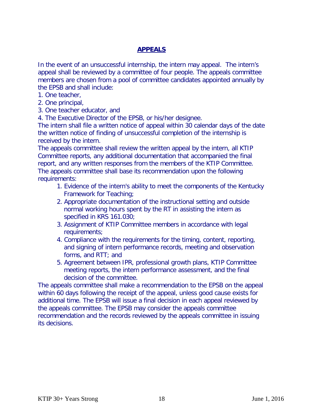## **APPEALS**

In the event of an unsuccessful internship, the intern may appeal. The intern's appeal shall be reviewed by a committee of four people. The appeals committee members are chosen from a pool of committee candidates appointed annually by the EPSB and shall include:

- 1. One teacher,
- 2. One principal,
- 3. One teacher educator, and

4. The Executive Director of the EPSB, or his/her designee.

The intern shall file a written notice of appeal within 30 calendar days of the date the written notice of finding of unsuccessful completion of the internship is received by the intern.

The appeals committee shall review the written appeal by the intern, all KTIP Committee reports, any additional documentation that accompanied the final report, and any written responses from the members of the KTIP Committee. The appeals committee shall base its recommendation upon the following requirements:

- 1. Evidence of the intern's ability to meet the components of the Kentucky Framework for Teaching;
- 2. Appropriate documentation of the instructional setting and outside normal working hours spent by the RT in assisting the intern as specified in KRS 161.030;
- 3. Assignment of KTIP Committee members in accordance with legal requirements;
- 4. Compliance with the requirements for the timing, content, reporting, and signing of intern performance records, meeting and observation forms, and RTT; and
- 5. Agreement between IPR, professional growth plans, KTIP Committee meeting reports, the intern performance assessment, and the final decision of the committee.

The appeals committee shall make a recommendation to the EPSB on the appeal within 60 days following the receipt of the appeal, unless good cause exists for additional time. The EPSB will issue a final decision in each appeal reviewed by the appeals committee. The EPSB may consider the appeals committee recommendation and the records reviewed by the appeals committee in issuing its decisions.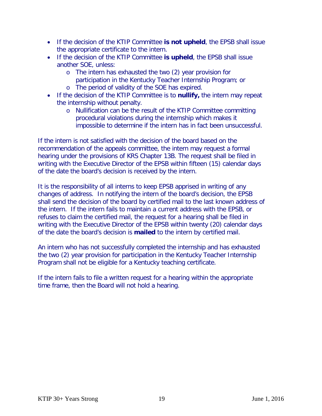- If the decision of the KTIP Committee **is not upheld**, the EPSB shall issue the appropriate certificate to the intern.
- If the decision of the KTIP Committee **is upheld**, the EPSB shall issue another SOE, unless:
	- o The intern has exhausted the two (2) year provision for participation in the Kentucky Teacher Internship Program; or
	- o The period of validity of the SOE has expired.
- If the decision of the KTIP Committee is to **nullify,** the intern may repeat the internship without penalty.
	- o Nullification can be the result of the KTIP Committee committing procedural violations during the internship which makes it impossible to determine if the intern has in fact been unsuccessful.

If the intern is not satisfied with the decision of the board based on the recommendation of the appeals committee, the intern may request a formal hearing under the provisions of KRS Chapter 13B. The request shall be filed in writing with the Executive Director of the EPSB within fifteen (15) calendar days of the date the board's decision is received by the intern.

It is the responsibility of all interns to keep EPSB apprised in writing of any changes of address. In notifying the intern of the board's decision, the EPSB shall send the decision of the board by certified mail to the last known address of the intern. If the intern fails to maintain a current address with the EPSB, or refuses to claim the certified mail, the request for a hearing shall be filed in writing with the Executive Director of the EPSB within twenty (20) calendar days of the date the board's decision is **mailed** to the intern by certified mail.

An intern who has not successfully completed the internship and has exhausted the two (2) year provision for participation in the Kentucky Teacher Internship Program shall not be eligible for a Kentucky teaching certificate.

If the intern fails to file a written request for a hearing within the appropriate time frame, then the Board will not hold a hearing.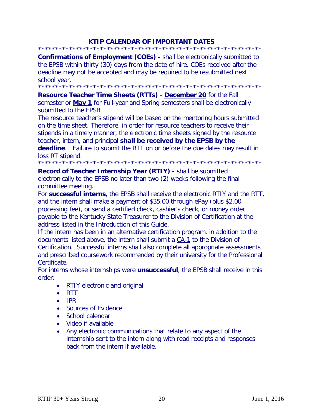## **KTIP CALENDAR OF IMPORTANT DATES**

\*\*\*\*\*\*\*\*\*\*\*\*\*\*\*\*\*\*\*\*\*\*\*\*\*\*\*\*\*\*\*\*\*\*\*\*\*\*\*\*\*\*\*\*\*\*\*\*\*\*\*\*\*\*\*\*\*\*\*\*\*\*\*\*\* **Confirmations of Employment (COEs) -** shall be electronically submitted to the EPSB within thirty (30) days from the date of hire. COEs received after the deadline may not be accepted and may be required to be resubmitted next school year.

\*\*\*\*\*\*\*\*\*\*\*\*\*\*\*\*\*\*\*\*\*\*\*\*\*\*\*\*\*\*\*\*\*\*\*\*\*\*\*\*\*\*\*\*\*\*\*\*\*\*\*\*\*\*\*\*\*\*\*\*\*\*\*\*\*

**Resource Teacher Time Sheets (RTTs)** - **December 20** for the Fall semester or **May 1** for Full-year and Spring semesters shall be electronically submitted to the EPSB.

The resource teacher's stipend will be based on the mentoring hours submitted on the time sheet. Therefore, in order for resource teachers to receive their stipends in a timely manner, the electronic time sheets signed by the resource teacher, intern, and principal **shall be received by the EPSB by the deadline**. Failure to submit the RTT on or before the due dates may result in loss RT stipend.

\*\*\*\*\*\*\*\*\*\*\*\*\*\*\*\*\*\*\*\*\*\*\*\*\*\*\*\*\*\*\*\*\*\*\*\*\*\*\*\*\*\*\*\*\*\*\*\*\*\*\*\*\*\*\*\*\*\*\*\*\*\*\*\*\*

**Record of Teacher Internship Year (RTIY) -** shall be submitted electronically to the EPSB no later than two (2) weeks following the final committee meeting.

For **successful interns**, the EPSB shall receive the electronic RTIY and the RTT, and the intern shall make a payment of \$35.00 through ePay (plus \$2.00 processing fee), or send a certified check, cashier's check, or money order payable to the Kentucky State Treasurer to the Division of Certification at the address listed in the Introduction of this Guide.

If the intern has been in an alternative certification program, in addition to the documents listed above, the intern shall submit a [CA-1](http://kyepsb.net/documents/Cert/TC-1_Application.pdf) to the Division of Certification. Successful interns shall also complete all appropriate assessments and prescribed coursework recommended by their university for the Professional Certificate.

For interns whose internships were **unsuccessful**, the EPSB shall receive in this order:

- RTIY electronic and original
- RTT
- IPR
- Sources of Evidence
- School calendar
- Video if available
- Any electronic communications that relate to any aspect of the internship sent to the intern along with read receipts and responses back from the intern if available.